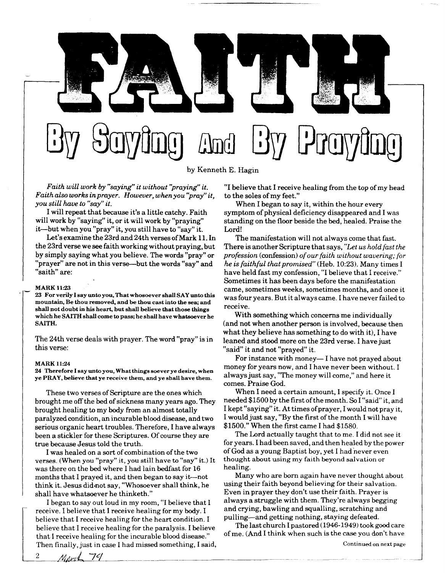

*Faith will work by "saying" it without "praying" it. Faith also works in prayer. However, when you "pray" it, you still have to "say" it.* 

I will repeat that because it's a little catchy. Faith will work by "saying" it, or it will work by "praying" it—but when you "pray" it, you still have to "say" it.

Let's examine the 23rd and 24th verses of Mark 11. In the 23rd verse we see faith working without praying, but by simply saying what you believe. The words "pray" or "prayer" are not in this verse—but the words "say" and "saith" are:

## **MAR K 11:23**

**23 For verily I say unto you, That whosoever shall SAY unto this mountain, Be thou removed, and be thou cast into the sea; and shall not doubt in his heart, but shall believe that those things which he SAITH shall come to pass; he shall have whatsoever he SAITH.** 

The 24th verse deals with prayer. The word "pray" is in this verse:

### **MARK** 11:24

**24 Therefore I say unto you, What things soever ye desire, when ye PRAY , believe that ye receive them, and ye shall have them.** 

These two verses of Scripture are the ones which brought me off the bed of sickness many years ago. They brought healing to my body from an almost totally paralyzed condition, an incurable blood disease, and two serious organic heart troubles. Therefore, I have always been a stickler for these Scriptures. Of course they are true because Jesus told the truth.

I was healed on a sort of combination of the two verses. (When you "pray" it, you still have to "say" it.) It was there on the bed where I had lain bedfast for 16 months that I prayed it, and then began to say it—not think it. Jesus did-not say, "Whosoever shall think, he shall have whatsoever he thinketh."

I began to say out loud in my room, "I believe that I receive. I believe that I receive healing for my body. I believe that I receive healing for the heart condition. I believe that I receive healing for the paralysis. I believe that I receive healing for the incurable blood disease." Then finally, just in case I had missed something, I said, "I believe that I receive healing from the top of my head to the soles of my feet."

When I began to say it, within the hour every symptom of physical deficiency disappeared and I was standing on the floor beside the bed, healed. Praise the Lord!

The manifestation will not always come that fast. There is another Scripture that says, "Let us hold fast the *profession* (confession) *of our faith without wavering; for he is faithful that promised"* (Heb. 10:23). Many times I have held fast my confession, "I believe that I receive." Sometimes it has been days before the manifestation came, sometimes weeks, sometimes months, and once it was four years. But it always came. I have never failed to receive.

With something which concerns me individually (and not when another person is involved, because then what they believe has something to do with it), I have leaned and stood more on the 23rd verse. I have just "said" it and not "prayed" it.

For instance with money— I have not prayed about money for years now, and I have never been without. I always just say, "The money will come," and here it comes. Praise God.

When I need a certain amount, I specify it. Once I needed \$1500 by the first of the month. So I "said" it, and I kept "saying" it. A t times of prayer, I would not pray it, I would just say, "By the first of the month I will have \$1500." When the first came I had \$1580.

The Lord actually taught that to me. I did not see it for years. I had been saved, and then healed by the power of God as a young Baptist boy, yet I had never even thought about using my faith beyond salvation or healing.

Many who are born again have never thought about using their faith beyond believing for their salvation. Even in prayer they don't use their faith. Prayer is always a struggle with them. They're always begging and crying, bawling and squalling, scratching and pulling—and getting nothing, staying defeated.

The last church I pastored (1946-1949) took good care of me. (And I think when such is the case you don't have

2 March 79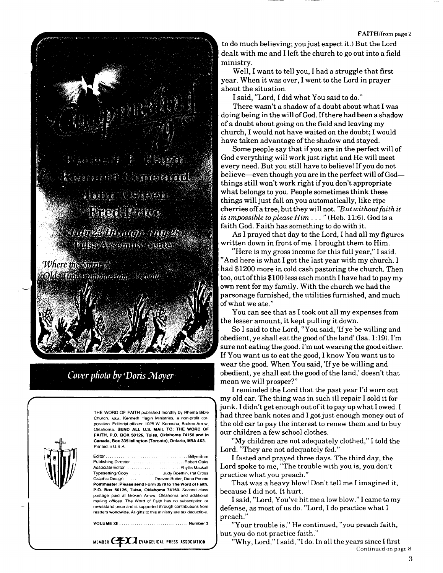

**STERCHES CENTER** Interies and

France State and the transition **WIRE ASSESSED ON SURFER** 

Where the Suita of Olds Time Communication around

*Cover photo by 'Doris Mayer* 



THE WORD OF FAITH published monthly by Rhema Bible Church, **AKA**, Kenneth Hagin Ministries, a non-profit corporation. Editorial offices: 1025 W. Kenosha, Broken Arrow, Oklahoma. SEND ALL U.S. MAIL TO: THE WORD OF **FAITH, P.O. BOX 50126, Tulsa, Oklahoma 74150 and in Canada, Box 335 Islington (Toronto), Ontario, M9A 4X3.**  Printed in U.S.A.

| Typesetting/Copy   Judy Boethin, Pat Cross                        |
|-------------------------------------------------------------------|
| Graphic Design Deaven Butter, Dana Pennie                         |
| Postmaster: Please send Form 3579 to The Word of Faith.           |
| P.O. Box 50126, Tulsa, Oklahoma 74150, Second class               |
| postage paid at Broken Arrow. Oklahoma and additional             |
| mailing offices. The Word of Faith has no subscription or         |
| newsstand price and is supported through contributions from       |
| readers worldwide. All gifts to this ministry are tax deductible. |
|                                                                   |

**VOLUM E XII Number 3** 

MEMBER **CEXA** EVANGELICAL PRESS ASSOCIATION

to do much believing; you just expect it.) But the Lord dealt with me and I left the church to go out into a field ministry.

Well, I want to tell you, I had a struggle that first year. When it was over, I went to the Lord in prayer about the situation.

I said, "Lord, I did what You said to do."

There wasn't a shadow of a doubt about what I was doing being in the will of God. If there had been a shadow of a doubt about going on the field and leaving my church, I would not have waited on the doubt; I would have taken advantage of the shadow and stayed.

Some people say that if you are in the perfect will of God everything will work just right and He will meet every need. But you still have to believe! If you do not believe—even though you are in the perfect will of God things still won't work right if you don't appropriate what belongs to you. People sometimes think these things will just fall on you automatically, like ripe cherries off a tree, but they will not. *"But without faith it is impossible to please Him* ... " (Heb. 11:6). God is a faith God. Faith has something to do with it.

As I prayed that day to the Lord, I had all my figures written down in front of me. I brought them to Him.

"Here is my gross income for this full year," I said. "And here is what I got the last year with my church. I had \$1200 more in cold cash pastoring the church. Then too, out of this \$100 less each month I have had to pay my own rent for my family. With the church we had the parsonage furnished, the utilities furnished, and much of what we ate."

You can see that as I took out all my expenses from the lesser amount, it kept pulling it down.

So I said to the Lord, "You said, 'If ye be willing and obedient, ye shall eat the good of the land' (Isa. 1:19). I'm sure not eating the good. I'm not wearing the good either. If You want us to eat the good, I know You want us to wear the good. When You said, 'If ye be willing and obedient, ye shall eat the good of the land,' doesn't that mean we will prosper?"

I reminded the Lord that the past year I'd worn out my old car. The thing was in such ill repair I sold it for junk. I didn't get enough out of it to pay up what I owed. I had three bank notes and I got just enough money out of the old car to pay the interest to renew them and to buy our children a few school clothes.

"My children are not adequately clothed," I told the Lord. "They are not adequately fed."

I fasted and prayed three days. The third day, the Lord spoke to me, "The trouble with you is, you don't practice what you preach."

That was a heavy blow! Don't tell me I imagined it, because I did not. It hurt.

I said, "Lord, You've hit me a low blow." I came to my defense, as most of us do. "Lord, I do practice what I preach.'

"Your trouble is," He continued, "you preach faith, but you do not practice faith."

"Why, Lord," I said, "I do. In all the years since I first Continued on page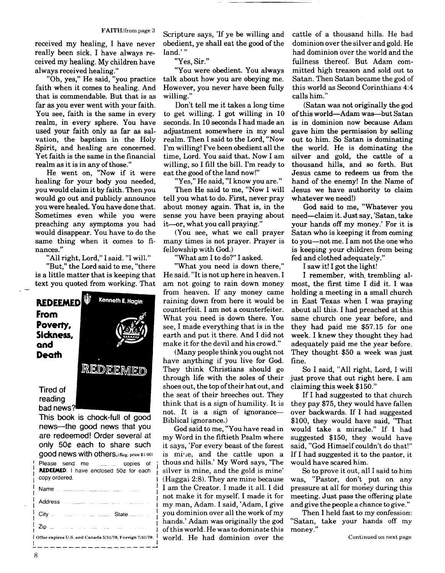received my healing, I have never really been sick. I have always received my healing. My children have always received healing."

"Oh, yes," He said, "you practice faith when it comes to healing. And that is commendable. But that is as far as you ever went with your faith. You see, faith is the same in every realm, in every sphere. You have used your faith only as far as salvation, the baptism in the Holy Spirit, and healing are concerned. Yet faith is the same in the financial realm as it is in any of those."

He went on, "Now if it were healing for your body you needed, you would claim it by faith. Then you would go out and publicly announce you were healed. You have done that. Sometimes even while you were preaching any symptoms you had would disappear. You have to do the same thing when it comes to finances."

"All right, Lord," I said. "I will." "But," the Lord said to me, "there is a little matter that is keeping that text you quoted from working. That



**news—the good news that you are redeemed! Order several at only 500 each to share such good news with others. (Reg. price \$1**.00) Please send me copies of REDEEMED. I have enclosed 50¢ for each copy ordered.

| <b>CODY UNICITION</b>                                      |
|------------------------------------------------------------|
|                                                            |
|                                                            |
| City City Communication of the City Communication of State |
|                                                            |
| Offer expires U.S. and Canada 5/31/79, Foreign 7/31/79.    |
|                                                            |

Scripture says, 'If ye be willing and obedient, ye shall eat the good of the land.'"

"Yes, Sir."

"You were obedient. You always talk about how you are obeying me. However, you never have been fully willing."

Don't tell me it takes a long time to get willing. I got willing in 10 seconds. In 10 seconds I had made an adjustment somewhere in my soul realm. Then I said to the Lord, "Now I'm willing! I've been obedient all the time, Lord. You said that. Now I am willing, so I fill the bill. I'm ready to eat the good of the land now!"

"Yes," He said, "I know you are."

Then He said to me, "Now I will tell you what to do. First, never pray about money again. That is, in the sense you have been praying about it—or, what you call praying."

(You see, what we call prayer many times is not prayer. Prayer is fellowship with God.)

 $"{\tt What\ am\ I\ to\ do?}" I\ a\rm sked.}$ 

"What you need is down there," He said. "It is not up here in heaven. I am not going to rain down money from heaven. If any money came raining down from here it would be counterfeit. I am not a counterfeiter. What you need is down there. You see, I made everything that is in the earth and put it there. And I did not make it for the devil and his crowd."

(Many people think you ought not have anything if you live for God. They think Christians should go through life with the soles of their shoes out, the top of their hat out, and the seat of their breeches out. They think that is a sign of humility. It is not. It is a sign of ignorance— Biblical ignorance.)

God said to me, "You have read in my Word in the fiftieth Psalm where it says, 'For every beast of the forest is mine, and the cattle upon a thous and hills.' My Word says, 'The silver is mine, and the gold is mine'  $(Haggai 2:8)$ . They are mine because I am the Creator. I made it all. I did not make it for myself. I made it for my man, Adam. I said, 'Adam, I give you dominion over all the work of my hands.' Adam was originally the god of this world. He was to dominate this world. He had dominion over the

cattle of a thousand hills. He had dominion over the silver and gold. He had dominion over the world and the fullness thereof. But Adam committed high treason and sold out to Satan. Then Satan became the god of this world as Second Corinthians 4:4 calls him."

(Satan was not originally the god of this world—Adam was—but Satan is in dominion now because Adam gave him the permission by selling out to him. So Satan is dominating the world. He is dominating the silver and gold, the cattle of a thousand hills, and so forth. But Jesus came to redeem us from the hand of the enemy! In the Name of Jesus we have authority to claim whatever we need!)

God said to me, "Whatever you need—claim it. Just say, 'Satan, take your hands off my money.' For it is Satan who is keeping it from coming to you—not me. I am not the one who is keeping your children from being fed and clothed adequately."

I saw it! I got the light!

I remember, with, trembling almost, the first time I did it. I was holding a meeting in a small church in East Texas when I was praying about all this. I had preached at this same church one year before, and they had paid me \$57.15 for one week. I knew they thought they had adequately paid me the year before. They thought \$50 a week was just fine.

So I said, "All right, Lord, I will just prove that out right here. I am claiming this week \$150."

If I had suggested to that church they pay \$75, they would have fallen over backwards. If I had suggested \$100, they would have said, "That would take a miracle." If I had suggested \$150, they would have said, "God Himself couldn't do that!" If I had suggested it to the pastor, it would have scared him.

So to prove it out, all I said to him was, "Pastor, don't put on any pressure at all for money during this meeting. Just pass the offering plate and give the people a chance to give."

Then I held fast to my confession: "Satan, take your hands off my money."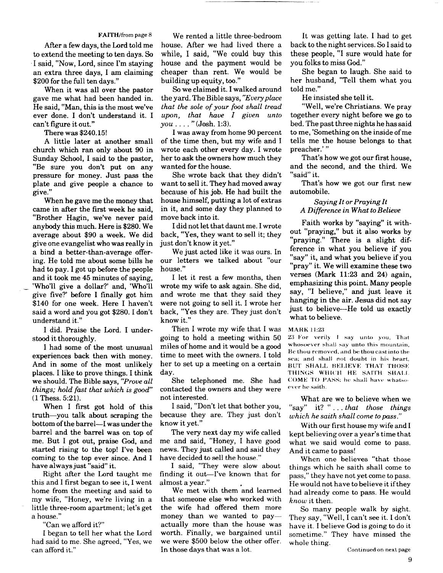After a few days, the Lord told me to extend the meeting to ten days. So I said, "Now, Lord, since I'm staying an extra three days, I am claiming \$200 for the full ten days."

When it was all over the pastor gave me what had been handed in. He said, "Man, this is the most we've ever done. I don't understand it. I can't figure it out."

There was \$240.15!

A little later at another small church which ran only about 90 in Sunday School, I said to the pastor, "Be sure you don't put on any pressure for money. Just pass the plate and give people a chance to give. "

When he gave me the money that came in after the first week he said, "Brother Hagin, we've never paid anybody this much. Here is \$280. We average about \$90 a week. We did give one evangelist who was really in a bind a better-than-average offering. He told me about some bills he had to pay. I got up before the people and it took me 45 minutes of saying, 'Who'll give a dollar?' and, 'Who'll give five?' before I finally got him \$140 for one week. Here I haven't said a word and you got \$280. I don't understand it."

I did. Praise the Lord. I understood it thoroughly.

I had some of the most unusual experiences back then with money. And in some of the most unlikely places. I like to prove things. I think we should. The Bible says, *"Prove all things; hold fast that which is good"*  (1 Thess. 5:21).

When I first got hold of this truth—you talk about scraping the bottom of the barrel—I was under the barrel and the barrel was on top of me. But I got out, praise God, and started rising to the top! I've been coming to the top ever since. And I have always just "said" it.

Right after the Lord taught me this and I first began to see it, I went home from the meeting and said to my wife, "Honey, we're living in a little three-room apartment; let's get a house."

"Can we afford it?"

I began to tell her what the Lord had said to me. She agreed, "Yes, we can afford it."

**FAITH**/from page 8 We rented a little three-bedroom house. After we had lived there a while, I said, "We could buy this house and the payment would be cheaper than rent. We would be building up equity, too."

So we claimed it. I walked around the yard. The Bible says, *"Every place that the sole of your foot shall tread upon, that have I given unto*   $you \ldots$  " (**Josh.** 1:3).

I was away from home 90 percent of the time then, but my wife and I wrote each other every day. I wrote her to ask the owners how much they wanted for the house.

She wrote back that they didn't want to sell it. They had moved away because of his job. He had built the house himself, putting a lot of extras in it, and some day they planned to move back into it.

I did not let that daunt me. I wrote back, "Yes, they want to sell it; they just don't know it yet."

We just acted like it was ours. In our letters we talked about "our house."

I let it rest a few months, then wrote my wife to ask again. She did, and wrote me that they said they were not going to sell it. I wrote her back, "Yes they are. They just don't know it."

Then I wrote my wife that I was going to hold a meeting within 50 miles of home and it would be a good time to meet with the owners. I told her to set up a meeting on a certain day.

She telephoned me. She had contacted the owners and they were not interested.

I said, "Don't let that bother you, because they are. They just don't know it yet."

The very next day my wife called me and said, "Honey, I have good news. They just called and said they have decided to sell the house."

I said, "They were slow about finding it out—I've known that for almost a year."

We met with them and learned that someone else who worked with the wife had offered them more money than we wanted to pay actually more than the house was worth. Finally, we bargained until we were \$500 below the other offer. In those days that was a lot.

It was getting late. I had to get back to the night services. So I said to these people, "I sure would hate for you folks to miss God."

She began to laugh. She said to her husband, "Tell them what you told me. "

He insisted she tell it.

"Well, we're Christians. We pray together every night before we go to bed. The past three nights he has said to me, 'Something on the inside of me tells me the house belongs to that preacher.' "

That's how we got our first house, and the second, and the third. We "said" it.

That's how we got our first new automobile.

## *Saying It or Praying It A Difference in What to Believe*

Faith works by "saying" it without "praying," but it also works by "praying." There is a slight difference in what you believe if you "say" it, and what you believe if you "pray" it. We will examine these two verses (Mark 11:23 and 24) again, emphasizing this point. Many people say, "I believe," and just leave it hanging in the air. Jesus did not say just to believe—He told us exactly what to believe.

## **MARK 11:23**

23 For verily 1 say unto you, That whosoever shall say unto this mountain, Be thou removed, and be thou cast into the sea; and shall not doubt in his heart, BUT SHALL BELIEVE THAT THOSE THINGS WHICH HE SAITH SHALL COME TO PASS; he shall have whatsoever he saith.

What are we to believe when we "say" it? ".. . *that those things which he saith shall come to pass."* 

With our first house my wife and I kept believing over a year's time that what we said would come to pass. And it came to pass!

When one believes "that those things which he saith shall come to pass," they have not yet come to pass. He would not have to believe it if they had already come to pass. He would *know* it then.

So many people walk by sight. They say, "Well, I can't see it. I don't have it. I believe God is going to do it sometime." They have missed the whole thing.